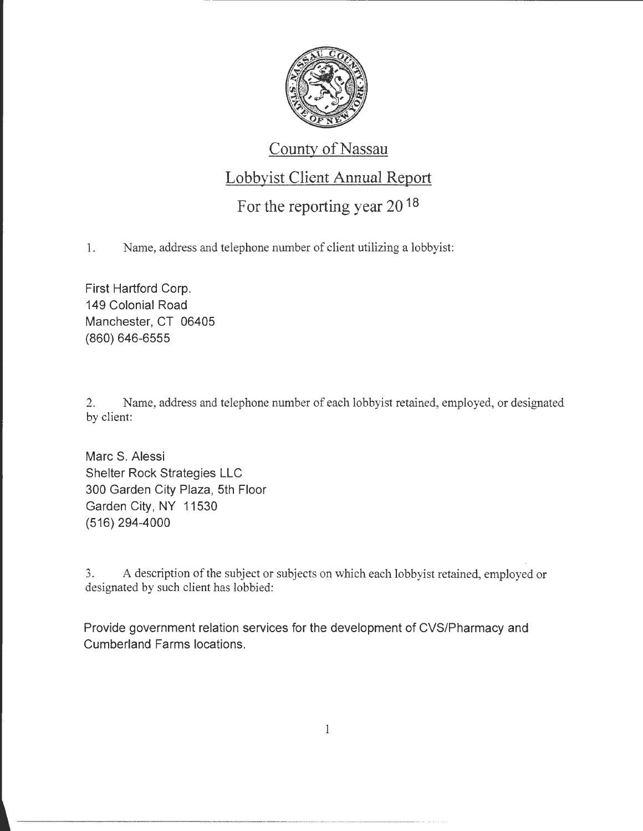

------------------------------

#### County of Nassau

### Lobbyist Client Annual Report

# For the reporting year 20<sup>18</sup>

1. Name, address and telephone number of client utilizing a lobbyist:

First Hartford Corp. 149 Colonial Road Manchester, CT 06405 (860) 646-6555

2. Name, address and telephone number of each lobbyist retained, employed, or designated by client:

Marc S. Alessi Shelter Rock Strategies LLC 300 Garden City Plaza, 5th Floor Garden City, NY 11530 (516) 294-4000

3. A description of the subject or subjects on which each lobbyist retained, employed or designated by such client has lobbied:

Provide government relation services for the development of CVS/Pharmacy and Cumberland Farms locations.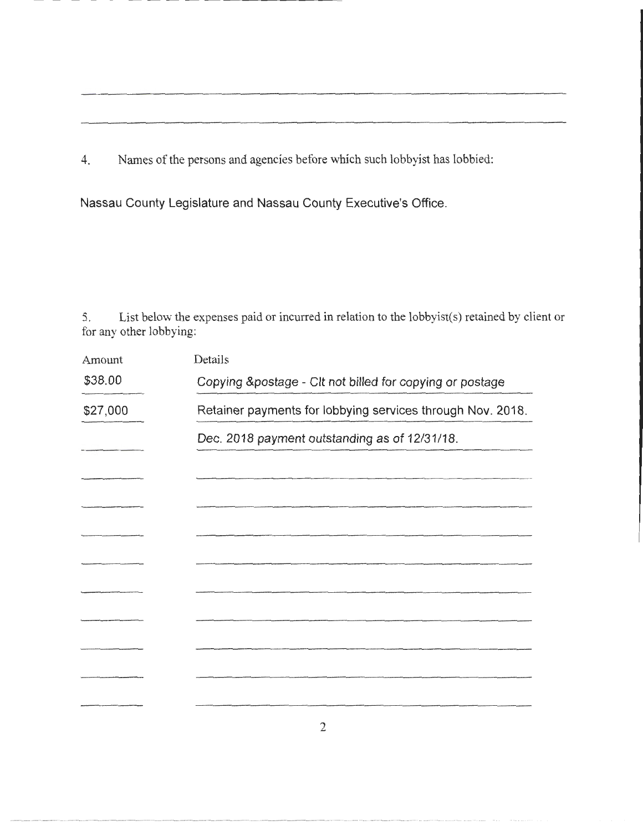4. Names of the persons and agencies before which such lobbyist has lobbied:

Nassau County Legislature and Nassau County Executive's Office.

5. List below the expenses paid or incurred in relation to the lobbyist(s) retained by client or for any other lobbying:

| Amount   | Details                                                    |
|----------|------------------------------------------------------------|
| \$38.00  | Copying &postage - Clt not billed for copying or postage   |
| \$27,000 | Retainer payments for lobbying services through Nov. 2018. |
|          | Dec. 2018 payment outstanding as of 12/31/18.              |
|          |                                                            |
|          |                                                            |
|          |                                                            |
|          |                                                            |
|          |                                                            |
|          |                                                            |
|          |                                                            |
|          |                                                            |
|          |                                                            |
|          |                                                            |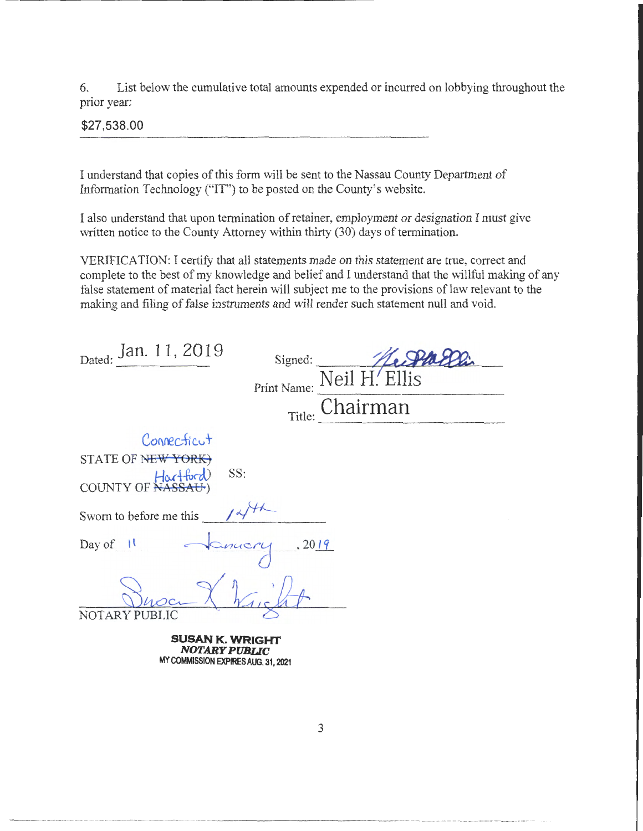6. List below the cumulative total amounts expended or incurred on lobbying throughout the prior year:

**\$27,538.00** 

 $\label{thm:main}$ 

I understand that copies of this form will be sent to the Nassau County Department of Information Technology ("IT") to be posted on the County's website.

I also understand that upon termination of retainer, employment or designation I must give written notice to the County Attorney within thirty (30) days of termination.

VERIFICATION: I certify that all statements made on this statement are true, correct and complete to the best of my knowledge and belief and I understand that the willful making of any false statement of material fact herein will subject me to the provisions of law relevant to the making and filing of false instruments and will render such statement null and void.

| false statement of material fact herein will subject me to the provisions of law relevant to the<br>making and filing of false instruments and will render such statement null and void. |
|------------------------------------------------------------------------------------------------------------------------------------------------------------------------------------------|
| Dated: Jan. 11, 2019<br>Signed:<br>Print Name: Neil H. Ellis<br>Chairman<br>Title:                                                                                                       |
| Connecticut<br>STATE OF NEW YORK)<br>SS:<br>COUNTY OF NASSAU)                                                                                                                            |
| Sworn to before me this                                                                                                                                                                  |
| Day of 11 January , 2019<br>NOTARY PUBLIC                                                                                                                                                |
| SUSAN K. WRIGHT<br><b>NOTARY PUBLIC</b>                                                                                                                                                  |

**MY COMMISSION EXPIRES AUG. 31,2021**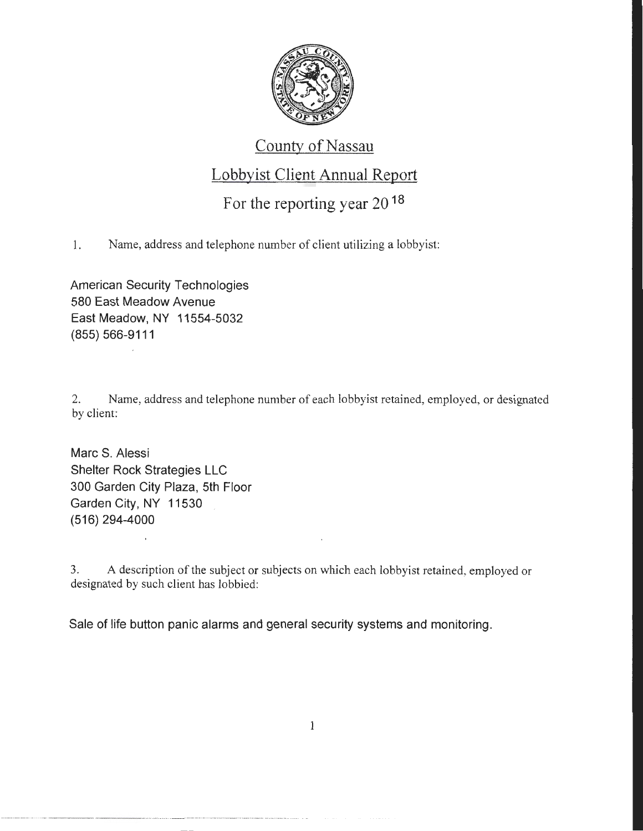

#### County of Nassau

# Lobbyist Client Annual Report

### For the reporting year 2018

1. Name, address and telephone number of client utilizing a lobbyist:

American Security Technologies 580 East Meadow Avenue East Meadow, NY 11554-5032 (855) 566-9111

2. Name, address and telephone number of each lobbyist retained, employed, or designated by client:

Marc S. Alessi Shelter Rock Strategies LLC 300 Garden City Plaza, 5th Floor Garden City, NY 11530 (516) 294-4000

3. A description of the subject or subjects on which each lobbyist retained, employed or designated by such client has lobbied:

Sale of life button panic alarms and general security systems and monitoring.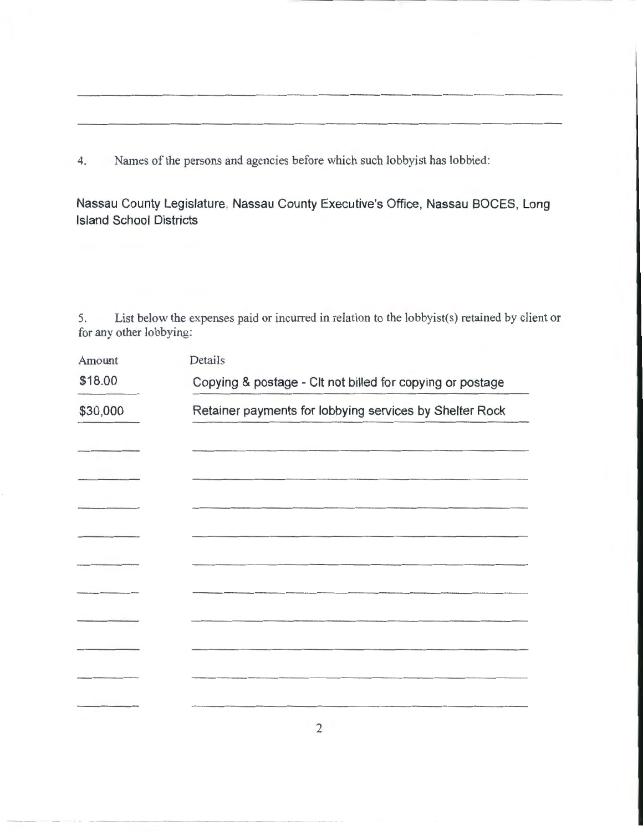4. Names of the persons and agencies before which such lobbyist has lobbied:

Nassau County Legislature, Nassau County Executive's Office, Nassau BOCES, Long Island School Districts

5. List below the expenses paid or incurred in relation to the lobbyist(s) retained by client or for any other lobbying:

| Amount   | Details                                                   |
|----------|-----------------------------------------------------------|
| \$18.00  | Copying & postage - Clt not billed for copying or postage |
| \$30,000 | Retainer payments for lobbying services by Shelter Rock   |
|          |                                                           |
|          |                                                           |
|          |                                                           |
|          |                                                           |
|          |                                                           |
|          |                                                           |
|          |                                                           |
|          |                                                           |
|          |                                                           |
|          |                                                           |